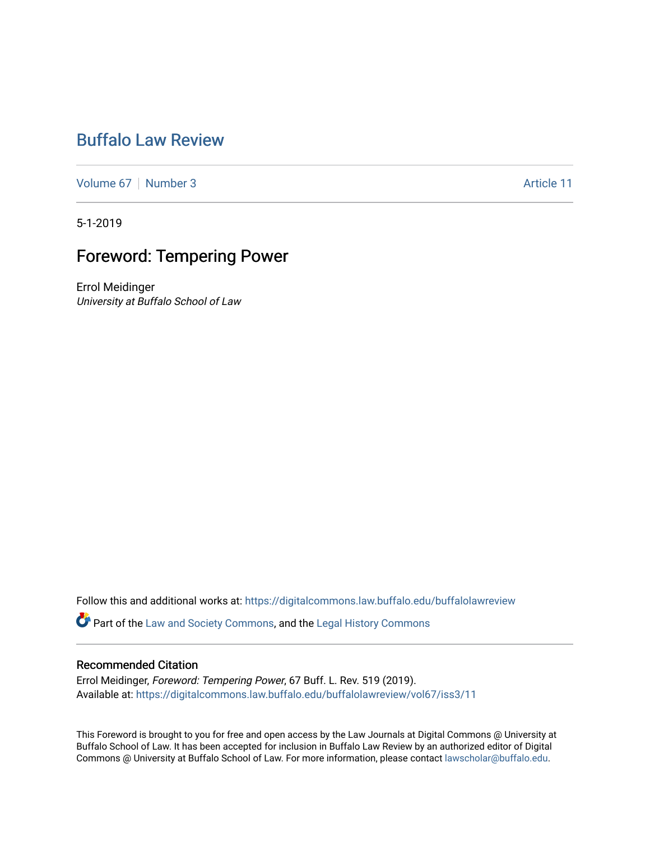# [Buffalo Law Review](https://digitalcommons.law.buffalo.edu/buffalolawreview)

[Volume 67](https://digitalcommons.law.buffalo.edu/buffalolawreview/vol67) [Number 3](https://digitalcommons.law.buffalo.edu/buffalolawreview/vol67/iss3) Article 11

5-1-2019

## Foreword: Tempering Power

Errol Meidinger University at Buffalo School of Law

Follow this and additional works at: [https://digitalcommons.law.buffalo.edu/buffalolawreview](https://digitalcommons.law.buffalo.edu/buffalolawreview?utm_source=digitalcommons.law.buffalo.edu%2Fbuffalolawreview%2Fvol67%2Fiss3%2F11&utm_medium=PDF&utm_campaign=PDFCoverPages) 

Part of the [Law and Society Commons](http://network.bepress.com/hgg/discipline/853?utm_source=digitalcommons.law.buffalo.edu%2Fbuffalolawreview%2Fvol67%2Fiss3%2F11&utm_medium=PDF&utm_campaign=PDFCoverPages), and the [Legal History Commons](http://network.bepress.com/hgg/discipline/904?utm_source=digitalcommons.law.buffalo.edu%2Fbuffalolawreview%2Fvol67%2Fiss3%2F11&utm_medium=PDF&utm_campaign=PDFCoverPages)

#### Recommended Citation

Errol Meidinger, Foreword: Tempering Power, 67 Buff. L. Rev. 519 (2019). Available at: [https://digitalcommons.law.buffalo.edu/buffalolawreview/vol67/iss3/11](https://digitalcommons.law.buffalo.edu/buffalolawreview/vol67/iss3/11?utm_source=digitalcommons.law.buffalo.edu%2Fbuffalolawreview%2Fvol67%2Fiss3%2F11&utm_medium=PDF&utm_campaign=PDFCoverPages)

This Foreword is brought to you for free and open access by the Law Journals at Digital Commons @ University at Buffalo School of Law. It has been accepted for inclusion in Buffalo Law Review by an authorized editor of Digital Commons @ University at Buffalo School of Law. For more information, please contact [lawscholar@buffalo.edu](mailto:lawscholar@buffalo.edu).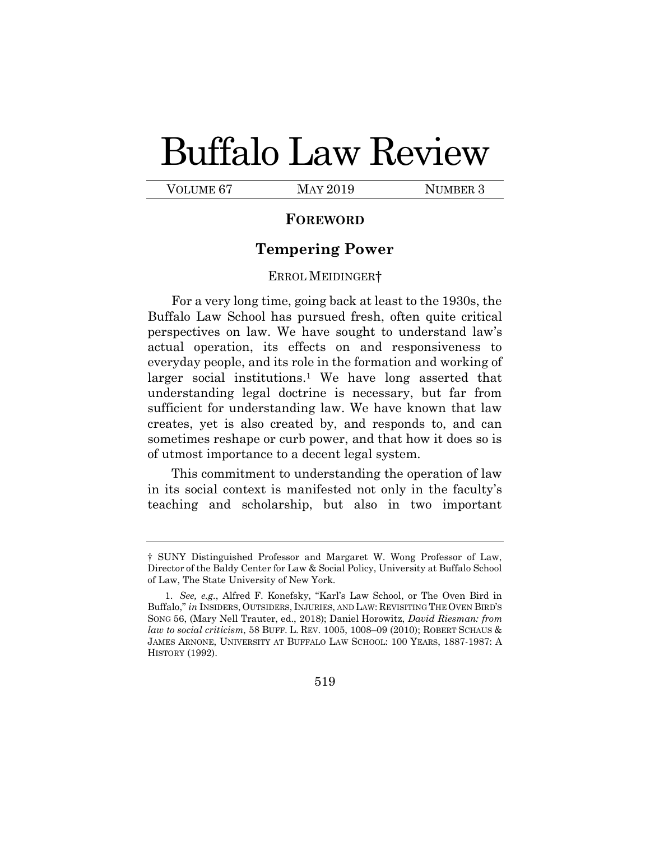# Buffalo Law Review

VOLUME 67 MAY 2019 NUMBER 3

## **FOREWORD**

## **Tempering Power**

### ERROL MEIDINGER†

For a very long time, going back at least to the 1930s, the Buffalo Law School has pursued fresh, often quite critical perspectives on law. We have sought to understand law's actual operation, its effects on and responsiveness to everyday people, and its role in the formation and working of larger social institutions.<sup>1</sup> We have long asserted that understanding legal doctrine is necessary, but far from sufficient for understanding law. We have known that law creates, yet is also created by, and responds to, and can sometimes reshape or curb power, and that how it does so is of utmost importance to a decent legal system.

This commitment to understanding the operation of law in its social context is manifested not only in the faculty's teaching and scholarship, but also in two important

<sup>†</sup> SUNY Distinguished Professor and Margaret W. Wong Professor of Law, Director of the Baldy Center for Law & Social Policy, University at Buffalo School of Law, The State University of New York.

<sup>1.</sup> *See, e.g.*, Alfred F. Konefsky, "Karl's Law School, or The Oven Bird in Buffalo," *in* INSIDERS, OUTSIDERS, INJURIES, AND LAW: REVISITING THE OVEN BIRD'S SONG 56, (Mary Nell Trauter, ed., 2018); Daniel Horowitz, *David Riesman: from law to social criticism*, 58 BUFF. L. REV. 1005, 1008–09 (2010); ROBERT SCHAUS & JAMES ARNONE, UNIVERSITY AT BUFFALO LAW SCHOOL: 100 YEARS, 1887-1987: A HISTORY (1992).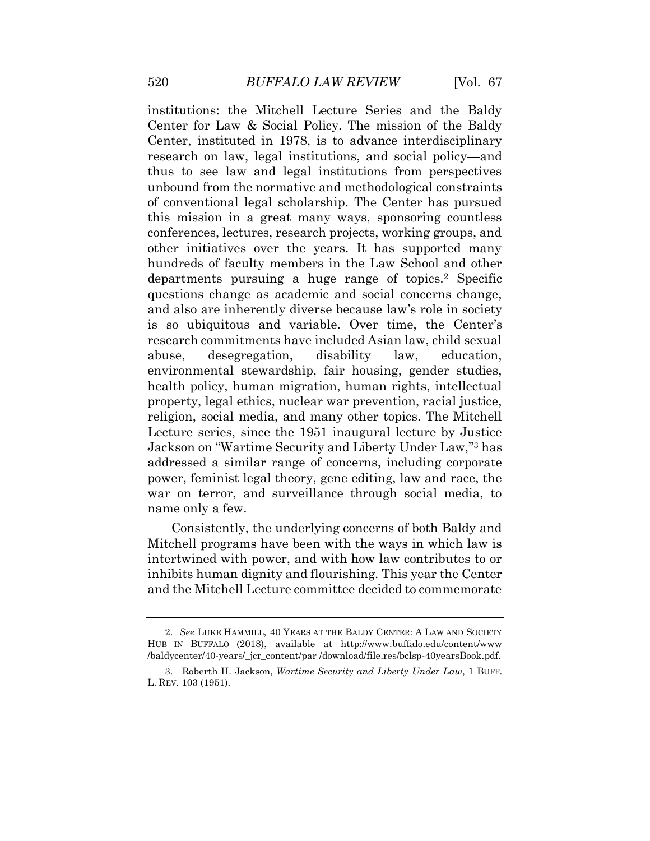institutions: the Mitchell Lecture Series and the Baldy Center for Law & Social Policy. The mission of the Baldy Center, instituted in 1978, is to advance interdisciplinary research on law, legal institutions, and social policy—and thus to see law and legal institutions from perspectives unbound from the normative and methodological constraints of conventional legal scholarship. The Center has pursued this mission in a great many ways, sponsoring countless conferences, lectures, research projects, working groups, and other initiatives over the years. It has supported many hundreds of faculty members in the Law School and other departments pursuing a huge range of topics.<sup>2</sup> Specific questions change as academic and social concerns change, and also are inherently diverse because law's role in society is so ubiquitous and variable. Over time, the Center's research commitments have included Asian law, child sexual abuse, desegregation, disability law, education, environmental stewardship, fair housing, gender studies, health policy, human migration, human rights, intellectual property, legal ethics, nuclear war prevention, racial justice, religion, social media, and many other topics. The Mitchell Lecture series, since the 1951 inaugural lecture by Justice Jackson on "Wartime Security and Liberty Under Law," <sup>3</sup> has addressed a similar range of concerns, including corporate power, feminist legal theory, gene editing, law and race, the war on terror, and surveillance through social media, to name only a few.

Consistently, the underlying concerns of both Baldy and Mitchell programs have been with the ways in which law is intertwined with power, and with how law contributes to or inhibits human dignity and flourishing. This year the Center and the Mitchell Lecture committee decided to commemorate

<sup>2.</sup> *See* LUKE HAMMILL, 40 YEARS AT THE BALDY CENTER: A LAW AND SOCIETY HUB IN BUFFALO (2018), available at http://www.buffalo.edu/content/www /baldycenter/40-years/\_jcr\_content/par /download/file.res/bclsp-40yearsBook.pdf.

<sup>3.</sup> Roberth H. Jackson, *Wartime Security and Liberty Under Law*, 1 BUFF. L. REV. 103 (1951).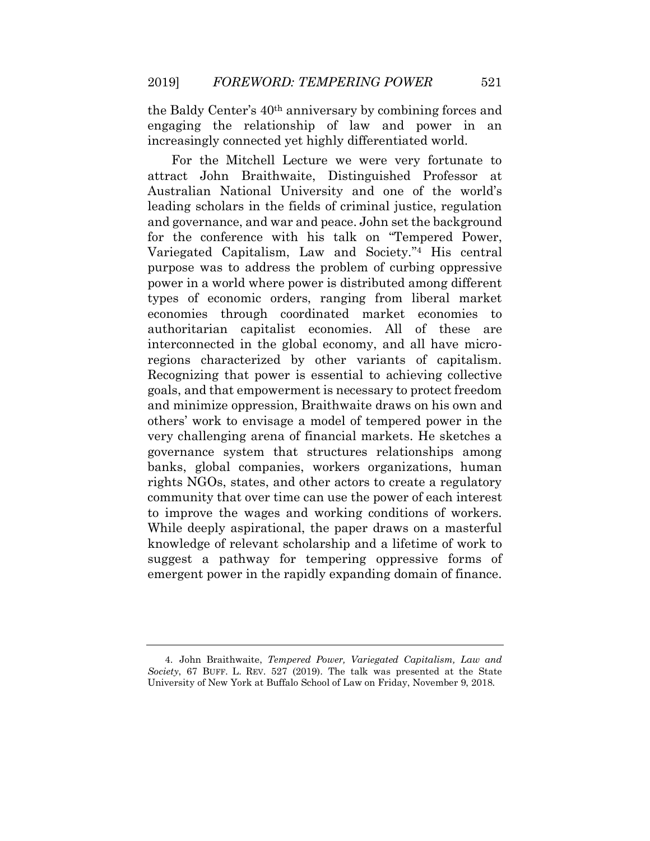the Baldy Center's 40th anniversary by combining forces and engaging the relationship of law and power in an increasingly connected yet highly differentiated world.

For the Mitchell Lecture we were very fortunate to attract John Braithwaite, Distinguished Professor at Australian National University and one of the world's leading scholars in the fields of criminal justice, regulation and governance, and war and peace. John set the background for the conference with his talk on "Tempered Power, Variegated Capitalism, Law and Society." <sup>4</sup> His central purpose was to address the problem of curbing oppressive power in a world where power is distributed among different types of economic orders, ranging from liberal market economies through coordinated market economies to authoritarian capitalist economies. All of these are interconnected in the global economy, and all have microregions characterized by other variants of capitalism. Recognizing that power is essential to achieving collective goals, and that empowerment is necessary to protect freedom and minimize oppression, Braithwaite draws on his own and others' work to envisage a model of tempered power in the very challenging arena of financial markets. He sketches a governance system that structures relationships among banks, global companies, workers organizations, human rights NGOs, states, and other actors to create a regulatory community that over time can use the power of each interest to improve the wages and working conditions of workers. While deeply aspirational, the paper draws on a masterful knowledge of relevant scholarship and a lifetime of work to suggest a pathway for tempering oppressive forms of emergent power in the rapidly expanding domain of finance.

<sup>4.</sup> John Braithwaite, *Tempered Power, Variegated Capitalism, Law and Society*, 67 BUFF. L. REV. 527 (2019). The talk was presented at the State University of New York at Buffalo School of Law on Friday, November 9, 2018.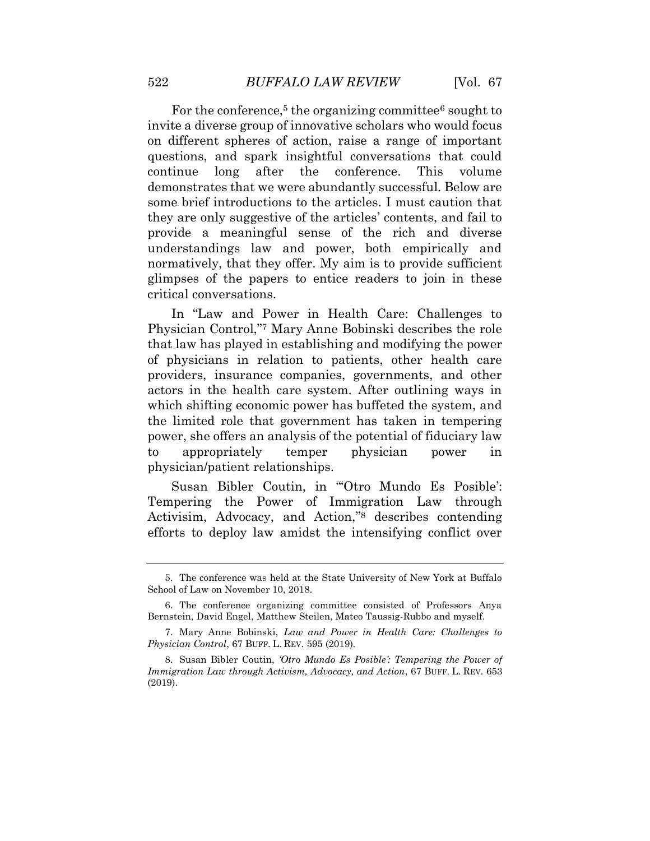For the conference,<sup>5</sup> the organizing committee<sup>6</sup> sought to invite a diverse group of innovative scholars who would focus on different spheres of action, raise a range of important questions, and spark insightful conversations that could continue long after the conference. This volume demonstrates that we were abundantly successful. Below are some brief introductions to the articles. I must caution that they are only suggestive of the articles' contents, and fail to provide a meaningful sense of the rich and diverse understandings law and power, both empirically and normatively, that they offer. My aim is to provide sufficient glimpses of the papers to entice readers to join in these critical conversations.

In "Law and Power in Health Care: Challenges to Physician Control," <sup>7</sup> Mary Anne Bobinski describes the role that law has played in establishing and modifying the power of physicians in relation to patients, other health care providers, insurance companies, governments, and other actors in the health care system. After outlining ways in which shifting economic power has buffeted the system, and the limited role that government has taken in tempering power, she offers an analysis of the potential of fiduciary law to appropriately temper physician power in physician/patient relationships.

Susan Bibler Coutin, in "'Otro Mundo Es Posible': Tempering the Power of Immigration Law through Activisim, Advocacy, and Action," <sup>8</sup> describes contending efforts to deploy law amidst the intensifying conflict over

<sup>5.</sup> The conference was held at the State University of New York at Buffalo School of Law on November 10, 2018.

<sup>6.</sup> The conference organizing committee consisted of Professors Anya Bernstein, David Engel, Matthew Steilen, Mateo Taussig-Rubbo and myself.

<sup>7.</sup> Mary Anne Bobinski, *Law and Power in Health Care: Challenges to Physician Control*, 67 BUFF. L. REV. 595 (2019).

<sup>8.</sup> Susan Bibler Coutin, *'Otro Mundo Es Posible': Tempering the Power of Immigration Law through Activism, Advocacy, and Action*, 67 BUFF. L. REV. 653 (2019).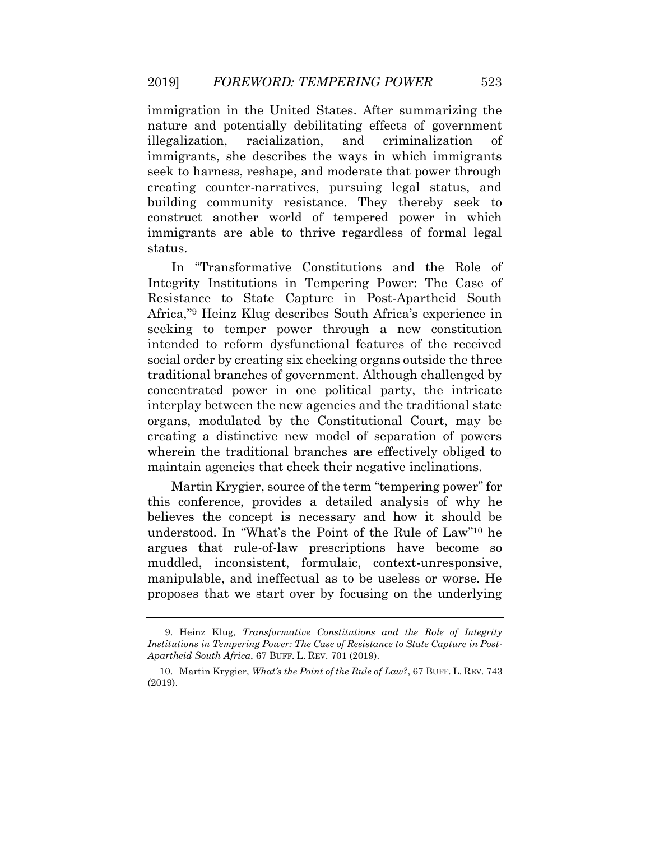immigration in the United States. After summarizing the nature and potentially debilitating effects of government illegalization, racialization, and criminalization of immigrants, she describes the ways in which immigrants seek to harness, reshape, and moderate that power through creating counter-narratives, pursuing legal status, and building community resistance. They thereby seek to construct another world of tempered power in which immigrants are able to thrive regardless of formal legal status.

In "Transformative Constitutions and the Role of Integrity Institutions in Tempering Power: The Case of Resistance to State Capture in Post-Apartheid South Africa," <sup>9</sup> Heinz Klug describes South Africa's experience in seeking to temper power through a new constitution intended to reform dysfunctional features of the received social order by creating six checking organs outside the three traditional branches of government. Although challenged by concentrated power in one political party, the intricate interplay between the new agencies and the traditional state organs, modulated by the Constitutional Court, may be creating a distinctive new model of separation of powers wherein the traditional branches are effectively obliged to maintain agencies that check their negative inclinations.

Martin Krygier, source of the term "tempering power" for this conference, provides a detailed analysis of why he believes the concept is necessary and how it should be understood. In "What's the Point of the Rule of Law" <sup>10</sup> he argues that rule-of-law prescriptions have become so muddled, inconsistent, formulaic, context-unresponsive, manipulable, and ineffectual as to be useless or worse. He proposes that we start over by focusing on the underlying

<sup>9.</sup> Heinz Klug, *Transformative Constitutions and the Role of Integrity Institutions in Tempering Power: The Case of Resistance to State Capture in Post-Apartheid South Africa*, 67 BUFF. L. REV. 701 (2019).

<sup>10.</sup> Martin Krygier, *What's the Point of the Rule of Law?*, 67 BUFF. L. REV. 743 (2019).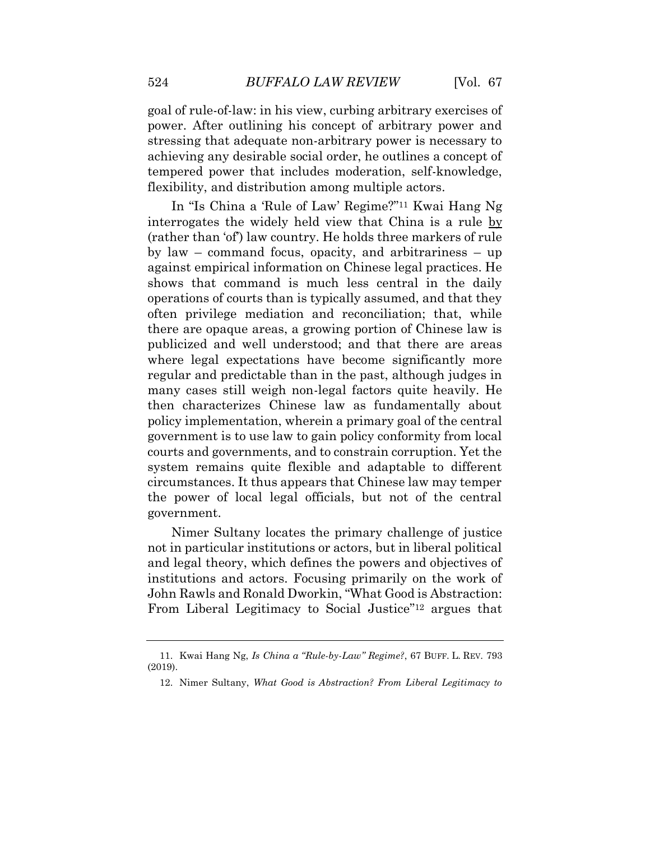goal of rule-of-law: in his view, curbing arbitrary exercises of power. After outlining his concept of arbitrary power and stressing that adequate non-arbitrary power is necessary to achieving any desirable social order, he outlines a concept of tempered power that includes moderation, self-knowledge, flexibility, and distribution among multiple actors.

In "Is China a 'Rule of Law' Regime?" <sup>11</sup> Kwai Hang Ng interrogates the widely held view that China is a rule by (rather than 'of') law country. He holds three markers of rule by law – command focus, opacity, and arbitrariness – up against empirical information on Chinese legal practices. He shows that command is much less central in the daily operations of courts than is typically assumed, and that they often privilege mediation and reconciliation; that, while there are opaque areas, a growing portion of Chinese law is publicized and well understood; and that there are areas where legal expectations have become significantly more regular and predictable than in the past, although judges in many cases still weigh non-legal factors quite heavily. He then characterizes Chinese law as fundamentally about policy implementation, wherein a primary goal of the central government is to use law to gain policy conformity from local courts and governments, and to constrain corruption. Yet the system remains quite flexible and adaptable to different circumstances. It thus appears that Chinese law may temper the power of local legal officials, but not of the central government.

Nimer Sultany locates the primary challenge of justice not in particular institutions or actors, but in liberal political and legal theory, which defines the powers and objectives of institutions and actors. Focusing primarily on the work of John Rawls and Ronald Dworkin, "What Good is Abstraction: From Liberal Legitimacy to Social Justice"<sup>12</sup> argues that

<sup>11.</sup> Kwai Hang Ng, *Is China a "Rule-by-Law" Regime?*, 67 BUFF. L. REV. 793 (2019).

<sup>12.</sup> Nimer Sultany, *What Good is Abstraction? From Liberal Legitimacy to*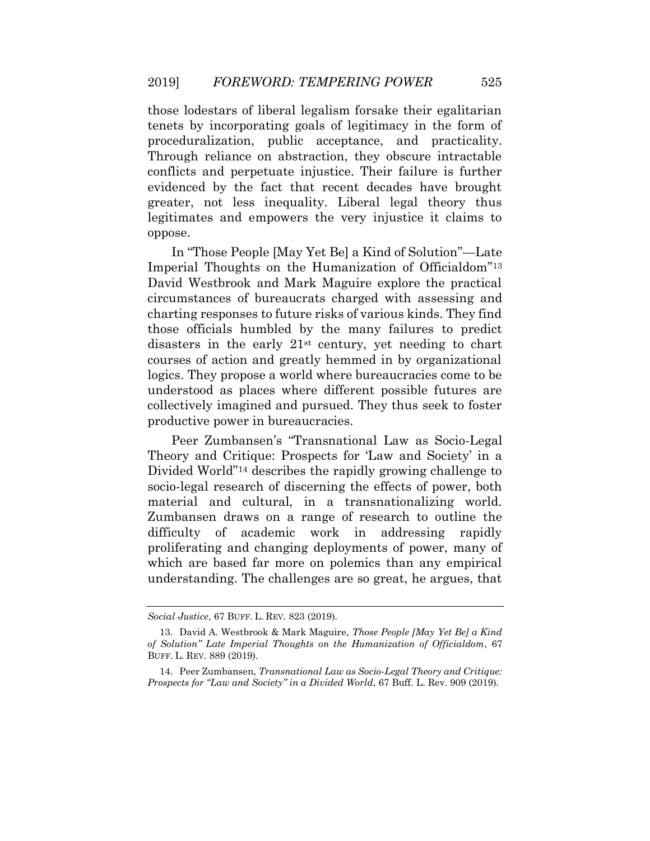those lodestars of liberal legalism forsake their egalitarian tenets by incorporating goals of legitimacy in the form of proceduralization, public acceptance, and practicality. Through reliance on abstraction, they obscure intractable conflicts and perpetuate injustice. Their failure is further evidenced by the fact that recent decades have brought greater, not less inequality. Liberal legal theory thus legitimates and empowers the very injustice it claims to oppose.

In "Those People [May Yet Be] a Kind of Solution"—Late Imperial Thoughts on the Humanization of Officialdom" 13 David Westbrook and Mark Maguire explore the practical circumstances of bureaucrats charged with assessing and charting responses to future risks of various kinds. They find those officials humbled by the many failures to predict disasters in the early 21st century, yet needing to chart courses of action and greatly hemmed in by organizational logics. They propose a world where bureaucracies come to be understood as places where different possible futures are collectively imagined and pursued. They thus seek to foster productive power in bureaucracies.

Peer Zumbansen's "Transnational Law as Socio-Legal Theory and Critique: Prospects for 'Law and Society' in a Divided World" <sup>14</sup> describes the rapidly growing challenge to socio-legal research of discerning the effects of power, both material and cultural, in a transnationalizing world. Zumbansen draws on a range of research to outline the difficulty of academic work in addressing rapidly proliferating and changing deployments of power, many of which are based far more on polemics than any empirical understanding. The challenges are so great, he argues, that

*Social Justice*, 67 BUFF. L. REV. 823 (2019).

<sup>13.</sup> David A. Westbrook & Mark Maguire, *Those People [May Yet Be] a Kind of Solution" Late Imperial Thoughts on the Humanization of Officialdom*, 67 BUFF. L. REV. 889 (2019).

<sup>14.</sup> Peer Zumbansen, *Transnational Law as Socio-Legal Theory and Critique: Prospects for "Law and Society" in a Divided World*, 67 Buff. L. Rev. 909 (2019).